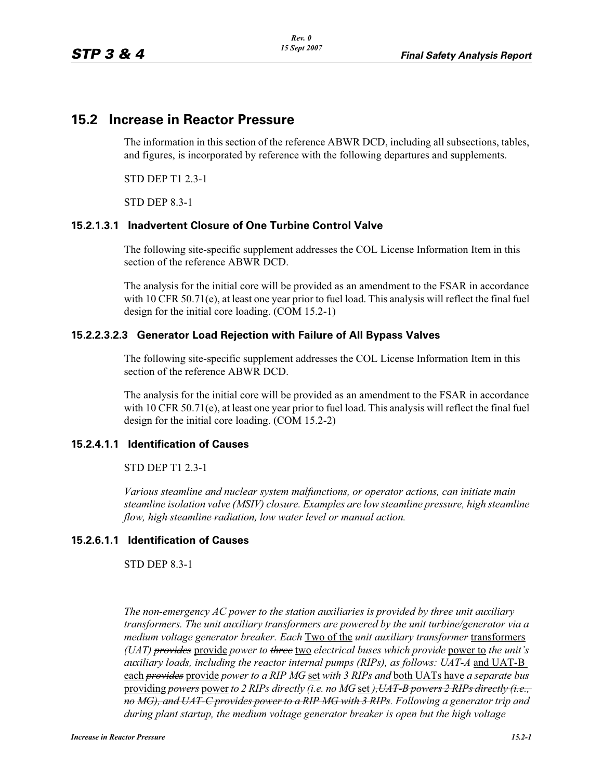# **15.2 Increase in Reactor Pressure**

The information in this section of the reference ABWR DCD, including all subsections, tables, and figures, is incorporated by reference with the following departures and supplements.

STD DEP T1 2.3-1

STD DEP 8.3-1

## **15.2.1.3.1 Inadvertent Closure of One Turbine Control Valve**

The following site-specific supplement addresses the COL License Information Item in this section of the reference ABWR DCD.

The analysis for the initial core will be provided as an amendment to the FSAR in accordance with 10 CFR 50.71(e), at least one year prior to fuel load. This analysis will reflect the final fuel design for the initial core loading. (COM 15.2-1)

## **15.2.2.3.2.3 Generator Load Rejection with Failure of All Bypass Valves**

The following site-specific supplement addresses the COL License Information Item in this section of the reference ABWR DCD.

The analysis for the initial core will be provided as an amendment to the FSAR in accordance with 10 CFR 50.71(e), at least one year prior to fuel load. This analysis will reflect the final fuel design for the initial core loading. (COM 15.2-2)

#### **15.2.4.1.1 Identification of Causes**

STD DEP T1 2.3-1

*Various steamline and nuclear system malfunctions, or operator actions, can initiate main steamline isolation valve (MSIV) closure. Examples are low steamline pressure, high steamline flow, high steamline radiation, low water level or manual action.*

#### **15.2.6.1.1 Identification of Causes**

STD DEP 8.3-1

*The non-emergency AC power to the station auxiliaries is provided by three unit auxiliary transformers. The unit auxiliary transformers are powered by the unit turbine/generator via a medium voltage generator breaker. Each* Two of the *unit auxiliary transformer* transformers *(UAT) provides* provide *power to three* two *electrical buses which provide* power to *the unit's auxiliary loads, including the reactor internal pumps (RIPs), as follows: UAT-A* and UAT-B each *provides* provide *power to a RIP MG* set *with 3 RIPs and* both UATs have *a separate bus*  providing *powers* power *to 2 RIPs directly (i.e. no MG* set *),UAT-B powers 2 RIPs directly (i.e., no MG), and UAT-C provides power to a RIP MG with 3 RIPs. Following a generator trip and during plant startup, the medium voltage generator breaker is open but the high voltage*